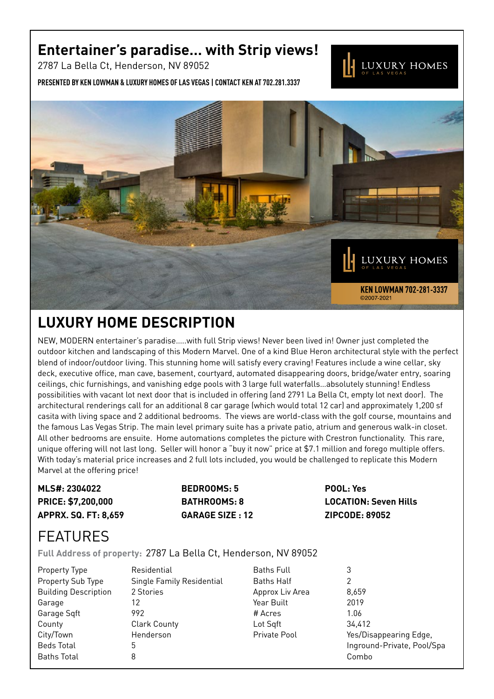## **Entertainer's paradise… with Strip views!**

2787 La Bella Ct, Henderson, NV 89052

**Presented by Ken Lowman & Luxury Homes of Las Vegas | Contact Ken at 702.281.3337**



## **Luxury Home description**

NEW, MODERN entertainer's paradise…..with full Strip views! Never been lived in! Owner just completed the outdoor kitchen and landscaping of this Modern Marvel. One of a kind Blue Heron architectural style with the perfect blend of indoor/outdoor living. This stunning home will satisfy every craving! Features include a wine cellar, sky deck, executive office, man cave, basement, courtyard, automated disappearing doors, bridge/water entry, soaring ceilings, chic furnishings, and vanishing edge pools with 3 large full waterfalls…absolutely stunning! Endless possibilities with vacant lot next door that is included in offering (and 2791 La Bella Ct, empty lot next door). The architectural renderings call for an additional 8 car garage (which would total 12 car) and approximately 1,200 sf casita with living space and 2 additional bedrooms. The views are world-class with the golf course, mountains and the famous Las Vegas Strip. The main level primary suite has a private patio, atrium and generous walk-in closet. All other bedrooms are ensuite. Home automations completes the picture with Crestron functionality. This rare, unique offering will not last long. Seller will honor a "buy it now" price at \$7.1 million and forego multiple offers. With today's material price increases and 2 full lots included, you would be challenged to replicate this Modern Marvel at the offering price!

| MLS#: 2304022               | <b>BEDROOMS: 5</b>      | POOL: Yes                    |
|-----------------------------|-------------------------|------------------------------|
| <b>PRICE: \$7,200,000</b>   | <b>BATHROOMS: 8</b>     | <b>LOCATION: Seven Hills</b> |
| <b>APPRX. SQ. FT: 8,659</b> | <b>GARAGE SIZE : 12</b> | <b>ZIPCODE: 89052</b>        |

## **FFATURFS**

**Full Address of property:** 2787 La Bella Ct, Henderson, NV 89052

| Property Type               | Re  |
|-----------------------------|-----|
| Property Sub Type           | Siı |
| <b>Building Description</b> | 29  |
| Garage                      | 12  |
| Garage Sqft                 | 99  |
| County                      | Сl  |
| City/Town                   | He  |
| <b>Beds Total</b>           | 5   |
| <b>Baths Total</b>          | 8   |

Residential **Single Family Residential** 2 Stories 992 Clark County Henderson

Baths Full 3 Baths Half 2 Approx Liv Area 8.659 Year Built 2019 # Acres 1.06 Lot Sqft 34,412

Private Pool Yes/Disappearing Edge, Inground-Private, Pool/Spa Combo

LUXURY HOMES